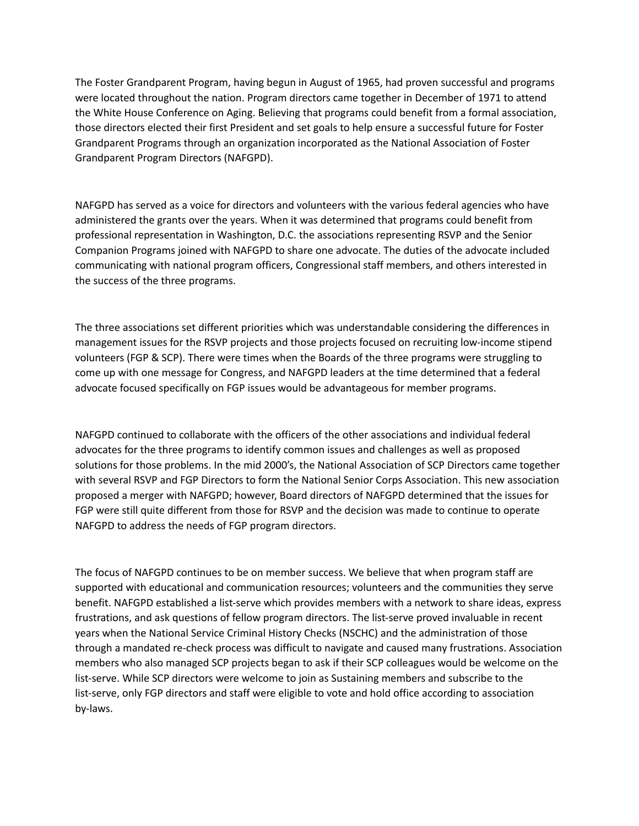The Foster Grandparent Program, having begun in August of 1965, had proven successful and programs were located throughout the nation. Program directors came together in December of 1971 to attend the White House Conference on Aging. Believing that programs could benefit from a formal association, those directors elected their first President and set goals to help ensure a successful future for Foster Grandparent Programs through an organization incorporated as the National Association of Foster Grandparent Program Directors (NAFGPD).

NAFGPD has served as a voice for directors and volunteers with the various federal agencies who have administered the grants over the years. When it was determined that programs could benefit from professional representation in Washington, D.C. the associations representing RSVP and the Senior Companion Programs joined with NAFGPD to share one advocate. The duties of the advocate included communicating with national program officers, Congressional staff members, and others interested in the success of the three programs.

The three associations set different priorities which was understandable considering the differences in management issues for the RSVP projects and those projects focused on recruiting low-income stipend volunteers (FGP & SCP). There were times when the Boards of the three programs were struggling to come up with one message for Congress, and NAFGPD leaders at the time determined that a federal advocate focused specifically on FGP issues would be advantageous for member programs.

NAFGPD continued to collaborate with the officers of the other associations and individual federal advocates for the three programs to identify common issues and challenges as well as proposed solutions for those problems. In the mid 2000's, the National Association of SCP Directors came together with several RSVP and FGP Directors to form the National Senior Corps Association. This new association proposed a merger with NAFGPD; however, Board directors of NAFGPD determined that the issues for FGP were still quite different from those for RSVP and the decision was made to continue to operate NAFGPD to address the needs of FGP program directors.

The focus of NAFGPD continues to be on member success. We believe that when program staff are supported with educational and communication resources; volunteers and the communities they serve benefit. NAFGPD established a list-serve which provides members with a network to share ideas, express frustrations, and ask questions of fellow program directors. The list-serve proved invaluable in recent years when the National Service Criminal History Checks (NSCHC) and the administration of those through a mandated re-check process was difficult to navigate and caused many frustrations. Association members who also managed SCP projects began to ask if their SCP colleagues would be welcome on the list-serve. While SCP directors were welcome to join as Sustaining members and subscribe to the list-serve, only FGP directors and staff were eligible to vote and hold office according to association by-laws.